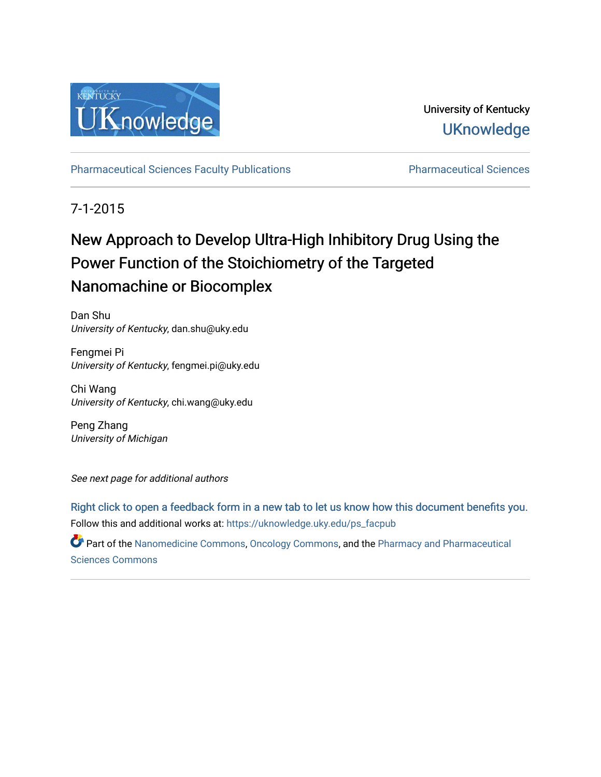

University of Kentucky **UKnowledge** 

[Pharmaceutical Sciences Faculty Publications](https://uknowledge.uky.edu/ps_facpub) **Pharmaceutical Sciences** 

7-1-2015

# New Approach to Develop Ultra-High Inhibitory Drug Using the Power Function of the Stoichiometry of the Targeted Nanomachine or Biocomplex

Dan Shu University of Kentucky, dan.shu@uky.edu

Fengmei Pi University of Kentucky, fengmei.pi@uky.edu

Chi Wang University of Kentucky, chi.wang@uky.edu

Peng Zhang University of Michigan

See next page for additional authors

Follow this and additional works at: [https://uknowledge.uky.edu/ps\\_facpub](https://uknowledge.uky.edu/ps_facpub?utm_source=uknowledge.uky.edu%2Fps_facpub%2F35&utm_medium=PDF&utm_campaign=PDFCoverPages)  [Right click to open a feedback form in a new tab to let us know how this document benefits you.](https://uky.az1.qualtrics.com/jfe/form/SV_9mq8fx2GnONRfz7)

Part of the [Nanomedicine Commons](http://network.bepress.com/hgg/discipline/1252?utm_source=uknowledge.uky.edu%2Fps_facpub%2F35&utm_medium=PDF&utm_campaign=PDFCoverPages), [Oncology Commons](http://network.bepress.com/hgg/discipline/694?utm_source=uknowledge.uky.edu%2Fps_facpub%2F35&utm_medium=PDF&utm_campaign=PDFCoverPages), and the [Pharmacy and Pharmaceutical](http://network.bepress.com/hgg/discipline/731?utm_source=uknowledge.uky.edu%2Fps_facpub%2F35&utm_medium=PDF&utm_campaign=PDFCoverPages)  [Sciences Commons](http://network.bepress.com/hgg/discipline/731?utm_source=uknowledge.uky.edu%2Fps_facpub%2F35&utm_medium=PDF&utm_campaign=PDFCoverPages)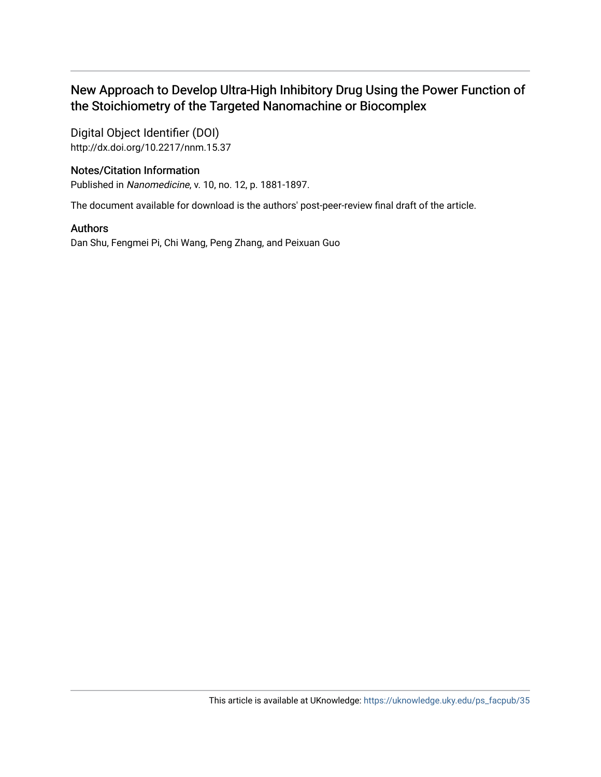## New Approach to Develop Ultra-High Inhibitory Drug Using the Power Function of the Stoichiometry of the Targeted Nanomachine or Biocomplex

Digital Object Identifier (DOI) http://dx.doi.org/10.2217/nnm.15.37

### Notes/Citation Information

Published in Nanomedicine, v. 10, no. 12, p. 1881-1897.

The document available for download is the authors' post-peer-review final draft of the article.

### Authors

Dan Shu, Fengmei Pi, Chi Wang, Peng Zhang, and Peixuan Guo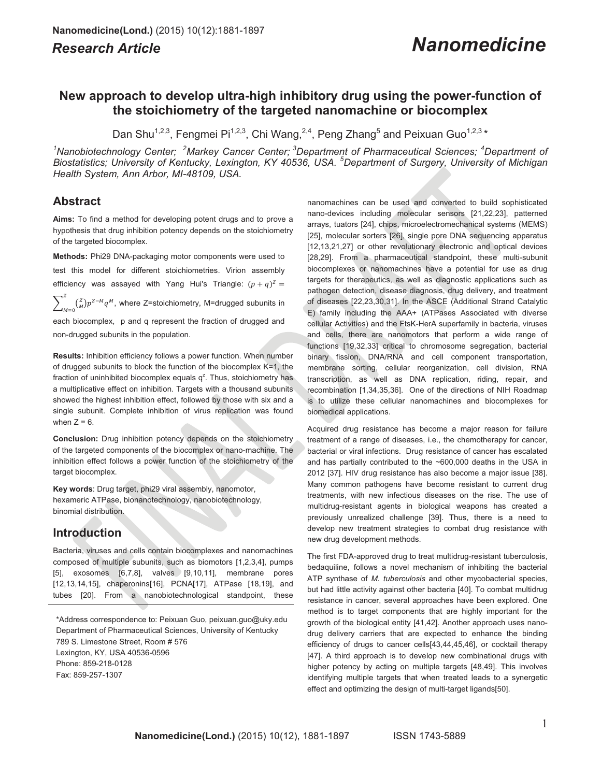## *Research Article Nanomedicine*

### **New approach to develop ultra-high inhibitory drug using the power-function of the stoichiometry of the targeted nanomachine or biocomplex**

Dan Shu<sup>1,2,3</sup>, Fengmei Pi<sup>1,2,3</sup>, Chi Wang,<sup>2,4</sup>, Peng Zhang<sup>5</sup> and Peixuan Guo<sup>1,2,3</sup> \*

<sup>1</sup>Nanobiotechnology Center; <sup>2</sup>Markey Cancer Center; <sup>3</sup>Department of Pharmaceutical Sciences; <sup>4</sup>Department of *Biostatistics; University of Kentucky, Lexington, KY 40536, USA. <sup>5</sup> Department of Surgery, University of Michigan Health System, Ann Arbor, MI-48109, USA.* 

### **Abstract**

**Aims:** To find a method for developing potent drugs and to prove a hypothesis that drug inhibition potency depends on the stoichiometry of the targeted biocomplex.

**Methods:** Phi29 DNA-packaging motor components were used to test this model for different stoichiometries. Virion assembly efficiency was assayed with Yang Hui's Triangle:  $(p+q)^{Z}$  =  $\sum_{M=0}^{Z} \binom{Z}{M} p^{Z-M} q^M$ , where Z=stoichiometry, M=drugged subunits in each biocomplex, p and q represent the fraction of drugged and

non-drugged subunits in the population.

**Results:** Inhibition efficiency follows a power function. When number of drugged subunits to block the function of the biocomplex K=1, the fraction of uninhibited biocomplex equals  $q^z$ . Thus, stoichiometry has a multiplicative effect on inhibition. Targets with a thousand subunits showed the highest inhibition effect, followed by those with six and a single subunit. Complete inhibition of virus replication was found when  $Z = 6$ .

**Conclusion:** Drug inhibition potency depends on the stoichiometry of the targeted components of the biocomplex or nano-machine. The inhibition effect follows a power function of the stoichiometry of the target biocomplex.

**Key words**: Drug target, phi29 viral assembly, nanomotor, hexameric ATPase, bionanotechnology, nanobiotechnology, binomial distribution.

### **Introduction**

Bacteria, viruses and cells contain biocomplexes and nanomachines composed of multiple subunits, such as biomotors [1,2,3,4], pumps [5], exosomes [6,7,8], valves [9,10,11], membrane pores [12,13,14,15], chaperonins[16], PCNA[17], ATPase [18,19], and tubes [20]. From a nanobiotechnological standpoint, these

\*Address correspondence to: Peixuan Guo, peixuan.guo@uky.edu Department of Pharmaceutical Sciences, University of Kentucky 789 S. Limestone Street, Room # 576 Lexington, KY, USA 40536-0596 Phone: 859-218-0128 Fax: 859-257-1307

nanomachines can be used and converted to build sophisticated nano-devices including molecular sensors [21,22,23], patterned arrays, tuators [24], chips, microelectromechanical systems (MEMS) [25], molecular sorters [26], single pore DNA sequencing apparatus [12,13,21,27] or other revolutionary electronic and optical devices [28,29]. From a pharmaceutical standpoint, these multi-subunit biocomplexes or nanomachines have a potential for use as drug targets for therapeutics, as well as diagnostic applications such as pathogen detection, disease diagnosis, drug delivery, and treatment of diseases [22,23,30,31]. In the ASCE (Additional Strand Catalytic E) family including the AAA+ (ATPases Associated with diverse cellular Activities) and the FtsK-HerA superfamily in bacteria, viruses and cells, there are nanomotors that perform a wide range of functions [19,32,33] critical to chromosome segregation, bacterial binary fission, DNA/RNA and cell component transportation, membrane sorting, cellular reorganization, cell division, RNA transcription, as well as DNA replication, riding, repair, and recombination [1,34,35,36]. One of the directions of NIH Roadmap is to utilize these cellular nanomachines and biocomplexes for biomedical applications.

Acquired drug resistance has become a major reason for failure treatment of a range of diseases, i.e., the chemotherapy for cancer, bacterial or viral infections. Drug resistance of cancer has escalated and has partially contributed to the ~600,000 deaths in the USA in 2012 [37]. HIV drug resistance has also become a major issue [38]. Many common pathogens have become resistant to current drug treatments, with new infectious diseases on the rise. The use of multidrug-resistant agents in biological weapons has created a previously unrealized challenge [39]. Thus, there is a need to develop new treatment strategies to combat drug resistance with new drug development methods.

The first FDA-approved drug to treat multidrug-resistant tuberculosis, bedaquiline, follows a novel mechanism of inhibiting the bacterial ATP synthase of *M. tuberculosis* and other mycobacterial species, but had little activity against other bacteria [40]. To combat multidrug resistance in cancer, several approaches have been explored. One method is to target components that are highly important for the growth of the biological entity [41,42]. Another approach uses nanodrug delivery carriers that are expected to enhance the binding efficiency of drugs to cancer cells[43,44,45,46], or cocktail therapy [47]. A third approach is to develop new combinational drugs with higher potency by acting on multiple targets [48,49]. This involves identifying multiple targets that when treated leads to a synergetic effect and optimizing the design of multi-target ligands[50].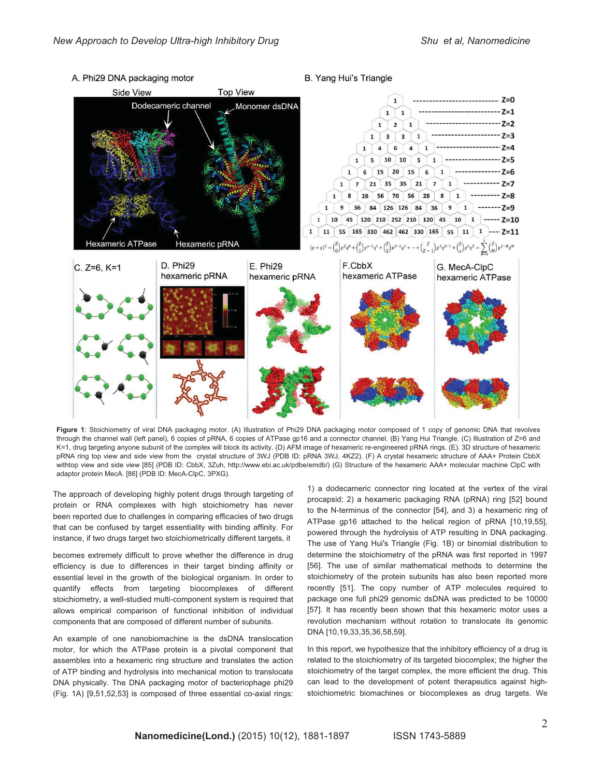

A. Phi29 DNA packaging motor

B. Yang Hui's Triangle

**Figure 1**: Stoichiometry of viral DNA packaging motor. (A) Illustration of Phi29 DNA packaging motor composed of 1 copy of genomic DNA that revolves through the channel wall (left panel), 6 copies of pRNA, 6 copies of ATPase gp16 and a connector channel. (B) Yang Hui Triangle. (C) Illustration of Z=6 and K=1, drug targeting anyone subunit of the complex will block its activity. (D) AFM image of hexameric re-engineered pRNA rings. (E). 3D structure of hexameric pRNA ring top view and side view from the crystal structure of 3WJ (PDB ID: pRNA 3WJ, 4KZ2). (F) A crystal hexameric structure of AAA+ Protein CbbX withtop view and side view [85] (PDB ID: CbbX, 3Zuh, http://www.ebi.ac.uk/pdbe/emdb/) (G) Structure of the hexameric AAA+ molecular machine ClpC with adaptor protein MecA. [86] (PDB ID: MecA-ClpC, 3PXG).

The approach of developing highly potent drugs through targeting of protein or RNA complexes with high stoichiometry has never been reported due to challenges in comparing efficacies of two drugs that can be confused by target essentiality with binding affinity. For instance, if two drugs target two stoichiometrically different targets, it

becomes extremely difficult to prove whether the difference in drug efficiency is due to differences in their target binding affinity or essential level in the growth of the biological organism. In order to quantify effects from targeting biocomplexes of different stoichiometry, a well-studied multi-component system is required that allows empirical comparison of functional inhibition of individual components that are composed of different number of subunits.

An example of one nanobiomachine is the dsDNA translocation motor, for which the ATPase protein is a pivotal component that assembles into a hexameric ring structure and translates the action of ATP binding and hydrolysis into mechanical motion to translocate DNA physically. The DNA packaging motor of bacteriophage phi29 (Fig. 1A) [9,51,52,53] is composed of three essential co-axial rings:

1) a dodecameric connector ring located at the vertex of the viral procapsid; 2) a hexameric packaging RNA (pRNA) ring [52] bound to the N-terminus of the connector [54], and 3) a hexameric ring of ATPase gp16 attached to the helical region of pRNA [10,19,55], powered through the hydrolysis of ATP resulting in DNA packaging. The use of Yang Hui's Triangle (Fig. 1B) or binomial distribution to determine the stoichiometry of the pRNA was first reported in 1997 [56]. The use of similar mathematical methods to determine the stoichiometry of the protein subunits has also been reported more recently [51]. The copy number of ATP molecules required to package one full phi29 genomic dsDNA was predicted to be 10000 [57]. It has recently been shown that this hexameric motor uses a revolution mechanism without rotation to translocate its genomic DNA [10,19,33,35,36,58,59].

In this report, we hypothesize that the inhibitory efficiency of a drug is related to the stoichiometry of its targeted biocomplex; the higher the stoichiometry of the target complex, the more efficient the drug. This can lead to the development of potent therapeutics against highstoichiometric biomachines or biocomplexes as drug targets. We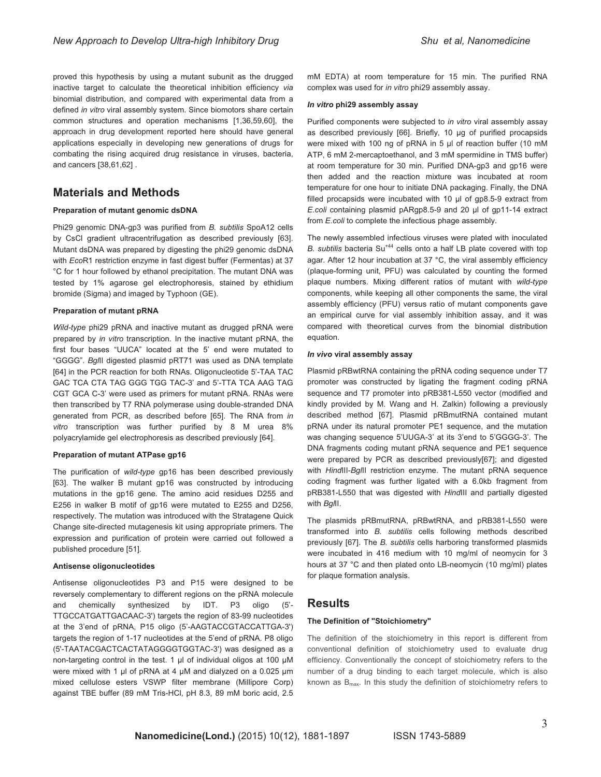proved this hypothesis by using a mutant subunit as the drugged inactive target to calculate the theoretical inhibition efficiency *via* binomial distribution, and compared with experimental data from a defined *in vitro* viral assembly system. Since biomotors share certain common structures and operation mechanisms [1,36,59,60], the approach in drug development reported here should have general applications especially in developing new generations of drugs for combating the rising acquired drug resistance in viruses, bacteria, and cancers [38,61,62] .

### **Materials and Methods**

#### **Preparation of mutant genomic dsDNA**

Phi29 genomic DNA-gp3 was purified from *B. subtilis* SpoA12 cells by CsCl gradient ultracentrifugation as described previously [63]. Mutant dsDNA was prepared by digesting the phi29 genomic dsDNA with *Eco*R1 restriction enzyme in fast digest buffer (Fermentas) at 37 °C for 1 hour followed by ethanol precipitation. The mutant DNA was tested by 1% agarose gel electrophoresis, stained by ethidium bromide (Sigma) and imaged by Typhoon (GE).

#### **Preparation of mutant pRNA**

*Wild-type* phi29 pRNA and inactive mutant as drugged pRNA were prepared by *in vitro* transcription. In the inactive mutant pRNA, the first four bases "UUCA" located at the 5' end were mutated to "GGGG". *Bgl*II digested plasmid pRT71 was used as DNA template [64] in the PCR reaction for both RNAs. Oligonucleotide 5'-TAA TAC GAC TCA CTA TAG GGG TGG TAC-3' and 5'-TTA TCA AAG TAG CGT GCA C-3' were used as primers for mutant pRNA. RNAs were then transcribed by T7 RNA polymerase using double-stranded DNA generated from PCR, as described before [65]. The RNA from *in vitro* transcription was further purified by 8 M urea 8% polyacrylamide gel electrophoresis as described previously [64].

#### **Preparation of mutant ATPase gp16**

The purification of *wild-type* gp16 has been described previously [63]. The walker B mutant gp16 was constructed by introducing mutations in the gp16 gene. The amino acid residues D255 and E256 in walker B motif of gp16 were mutated to E255 and D256, respectively. The mutation was introduced with the Stratagene Quick Change site-directed mutagenesis kit using appropriate primers. The expression and purification of protein were carried out followed a published procedure [51].

#### **Antisense oligonucleotides**

Antisense oligonucleotides P3 and P15 were designed to be reversely complementary to different regions on the pRNA molecule and chemically synthesized by IDT. P3 oligo (5'- TTGCCATGATTGACAAC-3') targets the region of 83-99 nucleotides at the 3'end of pRNA, P15 oligo (5'-AAGTACCGTACCATTGA-3') targets the region of 1-17 nucleotides at the 5'end of pRNA. P8 oligo (5'-TAATACGACTCACTATAGGGGTGGTAC-3') was designed as a non-targeting control in the test. 1 μl of individual oligos at 100 μM were mixed with 1 µl of pRNA at 4 µM and dialyzed on a 0.025 µm mixed cellulose esters VSWP filter membrane (Millipore Corp) against TBE buffer (89 mM Tris-HCl, pH 8.3, 89 mM boric acid, 2.5 mM EDTA) at room temperature for 15 min. The purified RNA complex was used for *in vitro* phi29 assembly assay.

#### *In vitro* **phi29 assembly assay**

Purified components were subjected to *in vitro* viral assembly assay as described previously [66]. Briefly, 10 μg of purified procapsids were mixed with 100 ng of pRNA in 5 μl of reaction buffer (10 mM ATP, 6 mM 2-mercaptoethanol, and 3 mM spermidine in TMS buffer) at room temperature for 30 min. Purified DNA-gp3 and gp16 were then added and the reaction mixture was incubated at room temperature for one hour to initiate DNA packaging. Finally, the DNA filled procapsids were incubated with 10 μl of gp8.5-9 extract from *E.coli* containing plasmid pARgp8.5-9 and 20 μl of gp11-14 extract from *E.coli* to complete the infectious phage assembly.

The newly assembled infectious viruses were plated with inoculated *B. subtilis* bacteria Su+44 cells onto a half LB plate covered with top agar. After 12 hour incubation at 37 °C, the viral assembly efficiency (plaque-forming unit, PFU) was calculated by counting the formed plaque numbers. Mixing different ratios of mutant with *wild-type* components, while keeping all other components the same, the viral assembly efficiency (PFU) versus ratio of mutant components gave an empirical curve for vial assembly inhibition assay, and it was compared with theoretical curves from the binomial distribution equation.

#### *In vivo* **viral assembly assay**

Plasmid pRBwtRNA containing the pRNA coding sequence under T7 promoter was constructed by ligating the fragment coding pRNA sequence and T7 promoter into pRB381-L550 vector (modified and kindly provided by M. Wang and H. Zalkin) following a previously described method [67]. Plasmid pRBmutRNA contained mutant pRNA under its natural promoter PE1 sequence, and the mutation was changing sequence 5'UUGA-3' at its 3'end to 5'GGGG-3'. The DNA fragments coding mutant pRNA sequence and PE1 sequence were prepared by PCR as described previously[67]; and digested with *Hind*III-*Bgl*II restriction enzyme. The mutant pRNA sequence coding fragment was further ligated with a 6.0kb fragment from pRB381-L550 that was digested with *Hind*III and partially digested with *Bgl*II.

The plasmids pRBmutRNA, pRBwtRNA, and pRB381-L550 were transformed into *B. subtilis* cells following methods described previously [67]. The *B. subtilis* cells harboring transformed plasmids were incubated in 416 medium with 10 mg/ml of neomycin for 3 hours at 37 °C and then plated onto LB-neomycin (10 mg/ml) plates for plaque formation analysis.

### **Results**

#### **The Definition of "Stoichiometry"**

The definition of the stoichiometry in this report is different from conventional definition of stoichiometry used to evaluate drug efficiency. Conventionally the concept of stoichiometry refers to the number of a drug binding to each target molecule, which is also known as  $B_{\text{max}}$ . In this study the definition of stoichiometry refers to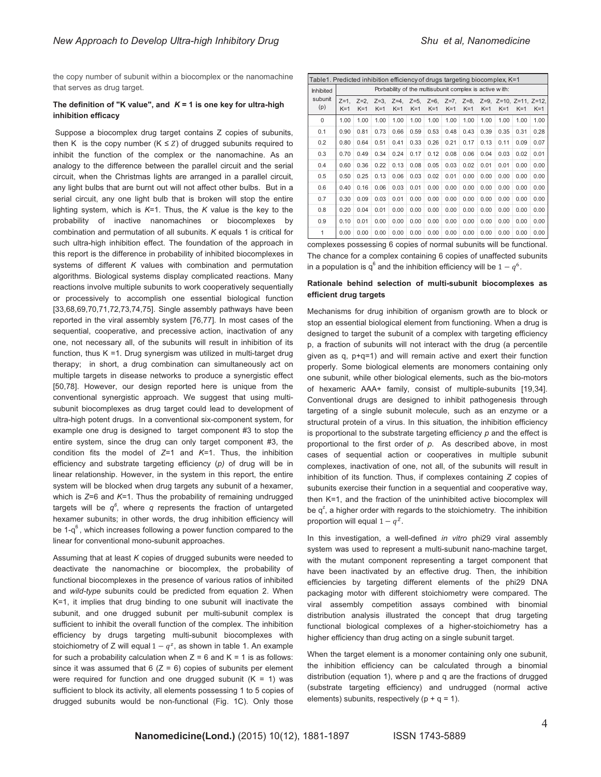the copy number of subunit within a biocomplex or the nanomachine that serves as drug target.

#### The definition of "K value", and  $K = 1$  is one key for ultra-high **inhibition efficacy**

 Suppose a biocomplex drug target contains Z copies of subunits, then K is the copy number  $(K \le Z)$  of drugged subunits required to inhibit the function of the complex or the nanomachine. As an analogy to the difference between the parallel circuit and the serial circuit, when the Christmas lights are arranged in a parallel circuit, any light bulbs that are burnt out will not affect other bulbs. But in a serial circuit, any one light bulb that is broken will stop the entire lighting system, which is *K*=1. Thus, the *K* value is the key to the probability of inactive nanomachines or biocomplexes by combination and permutation of all subunits. *K* equals 1 is critical for such ultra-high inhibition effect. The foundation of the approach in this report is the difference in probability of inhibited biocomplexes in systems of different *K* values with combination and permutation algorithms. Biological systems display complicated reactions. Many reactions involve multiple subunits to work cooperatively sequentially or processively to accomplish one essential biological function [33,68,69,70,71,72,73,74,75]. Single assembly pathways have been reported in the viral assembly system [76,77]. In most cases of the sequential, cooperative, and precessive action, inactivation of any one, not necessary all, of the subunits will result in inhibition of its function, thus K =1. Drug synergism was utilized in multi-target drug therapy; in short, a drug combination can simultaneously act on multiple targets in disease networks to produce a synergistic effect [50,78]. However, our design reported here is unique from the conventional synergistic approach. We suggest that using multisubunit biocomplexes as drug target could lead to development of ultra-high potent drugs. In a conventional six-component system, for example one drug is designed to target component #3 to stop the entire system, since the drug can only target component #3, the condition fits the model of *Z*=1 and *K*=1. Thus, the inhibition efficiency and substrate targeting efficiency (*p)* of drug will be in linear relationship. However, in the system in this report, the entire system will be blocked when drug targets any subunit of a hexamer, which is *Z*=6 and *K*=1. Thus the probability of remaining undrugged targets will be *q<sup>6</sup>* , where *q* represents the fraction of untargeted hexamer subunits; in other words, the drug inhibition efficiency will be  $1-q<sup>6</sup>$ , which increases following a power function compared to the linear for conventional mono-subunit approaches.

Assuming that at least *K* copies of drugged subunits were needed to deactivate the nanomachine or biocomplex, the probability of functional biocomplexes in the presence of various ratios of inhibited and *wild-type* subunits could be predicted from equation 2. When K=1, it implies that drug binding to one subunit will inactivate the subunit, and one drugged subunit per multi-subunit complex is sufficient to inhibit the overall function of the complex. The inhibition efficiency by drugs targeting multi-subunit biocomplexes with stoichiometry of Z will equal  $1 - q^z$ , as shown in table 1. An example for such a probability calculation when  $Z = 6$  and  $K = 1$  is as follows: since it was assumed that  $6 (Z = 6)$  copies of subunits per element were required for function and one drugged subunit  $(K = 1)$  was sufficient to block its activity, all elements possessing 1 to 5 copies of drugged subunits would be non-functional (Fig. 1C). Only those

| Table1. Predicted inhibition efficiency of drugs targeting biocomplex, K=1 |                                                         |                  |                  |                  |                  |       |                          |                  |       |                                             |       |       |  |
|----------------------------------------------------------------------------|---------------------------------------------------------|------------------|------------------|------------------|------------------|-------|--------------------------|------------------|-------|---------------------------------------------|-------|-------|--|
| <b>Inhibited</b><br>subunit<br>(p)                                         | Porbability of the multisubunit complex is active with: |                  |                  |                  |                  |       |                          |                  |       |                                             |       |       |  |
|                                                                            | $Z=1$ ,<br>$K=1$                                        | $Z=2$ .<br>$K=1$ | $Z=3$ .<br>$K=1$ | $Z=4$ .<br>$K=1$ | $Z=5$ ,<br>$K=1$ | $K=1$ | $Z=6$ , $Z=7$ ,<br>$K=1$ | $Z=8$ .<br>$K=1$ | $K=1$ | $Z=9$ . $Z=10$ . $Z=11$ . $Z=12$ .<br>$K=1$ | $K=1$ | $K=1$ |  |
| $\Omega$                                                                   | 1.00                                                    | 1.00             | 1.00             | 1.00             | 1.00             | 1.00  | 1.00                     | 1.00             | 1.00  | 1.00                                        | 1.00  | 1.00  |  |
| 0.1                                                                        | 0.90                                                    | 0.81             | 0.73             | 0.66             | 0.59             | 0.53  | 0.48                     | 0.43             | 0.39  | 0.35                                        | 0.31  | 0.28  |  |
| 0.2                                                                        | 0.80                                                    | 0.64             | 0.51             | 0.41             | 0.33             | 0.26  | 0.21                     | 0.17             | 0.13  | 0.11                                        | 0.09  | 0.07  |  |
| 0.3                                                                        | 0.70                                                    | 0.49             | 0.34             | 0.24             | 0.17             | 0.12  | 0.08                     | 0.06             | 0.04  | 0.03                                        | 0.02  | 0.01  |  |
| 0.4                                                                        | 0.60                                                    | 0.36             | 0.22             | 0.13             | 0.08             | 0.05  | 0.03                     | 0.02             | 0.01  | 0.01                                        | 0.00  | 0.00  |  |
| 0.5                                                                        | 0.50                                                    | 0.25             | 0.13             | 0.06             | 0.03             | 0.02  | 0.01                     | 0.00             | 0.00  | 0.00                                        | 0.00  | 0.00  |  |
| 0.6                                                                        | 0.40                                                    | 0.16             | 0.06             | 0.03             | 0.01             | 0.00  | 0.00                     | 0.00             | 0.00  | 0.00                                        | 0.00  | 0.00  |  |
| 0.7                                                                        | 0.30                                                    | 0.09             | 0.03             | 0.01             | 0.00             | 0.00  | 0.00                     | 0.00             | 0.00  | 0.00                                        | 0.00  | 0.00  |  |
| 0.8                                                                        | 0.20                                                    | 0.04             | 0.01             | 0.00             | 0.00             | 0.00  | 0.00                     | 0.00             | 0.00  | 0.00                                        | 0.00  | 0.00  |  |
| 0.9                                                                        | 0.10                                                    | 0.01             | 0.00             | 0.00             | 0.00             | 0.00  | 0.00                     | 0.00             | 0.00  | 0.00                                        | 0.00  | 0.00  |  |
| 1                                                                          | 0.00                                                    | 0.00             | 0.00             | 0.00             | 0.00             | 0.00  | 0.00                     | 0.00             | 0.00  | 0.00                                        | 0.00  | 0.00  |  |

complexes possessing 6 copies of normal subunits will be functional. The chance for a complex containing 6 copies of unaffected subunits in a population is  $\mathsf{q}^6$  and the inhibition efficiency will be  $1-q^6.$ 

#### **Rationale behind selection of multi-subunit biocomplexes as efficient drug targets**

Mechanisms for drug inhibition of organism growth are to block or stop an essential biological element from functioning. When a drug is designed to target the subunit of a complex with targeting efficiency p, a fraction of subunits will not interact with the drug (a percentile given as q, p+q=1) and will remain active and exert their function properly. Some biological elements are monomers containing only one subunit, while other biological elements, such as the bio-motors of hexameric AAA+ family, consist of multiple-subunits [19,34]. Conventional drugs are designed to inhibit pathogenesis through targeting of a single subunit molecule, such as an enzyme or a structural protein of a virus. In this situation, the inhibition efficiency is proportional to the substrate targeting efficiency *p* and the effect is proportional to the first order of *p*. As described above, in most cases of sequential action or cooperatives in multiple subunit complexes, inactivation of one, not all, of the subunits will result in inhibition of its function. Thus, if complexes containing *Z* copies of subunits exercise their function in a sequential and cooperative way, then K=1, and the fraction of the uninhibited active biocomplex will be  $q^z$ , a higher order with regards to the stoichiometry. The inhibition proportion will equal  $1 - q^z$ .

In this investigation, a well-defined *in vitro* phi29 viral assembly system was used to represent a multi-subunit nano-machine target, with the mutant component representing a target component that have been inactivated by an effective drug. Then, the inhibition efficiencies by targeting different elements of the phi29 DNA packaging motor with different stoichiometry were compared. The viral assembly competition assays combined with binomial distribution analysis illustrated the concept that drug targeting functional biological complexes of a higher-stoichiometry has a higher efficiency than drug acting on a single subunit target.

When the target element is a monomer containing only one subunit, the inhibition efficiency can be calculated through a binomial distribution (equation 1), where p and q are the fractions of drugged (substrate targeting efficiency) and undrugged (normal active elements) subunits, respectively  $(p + q = 1)$ .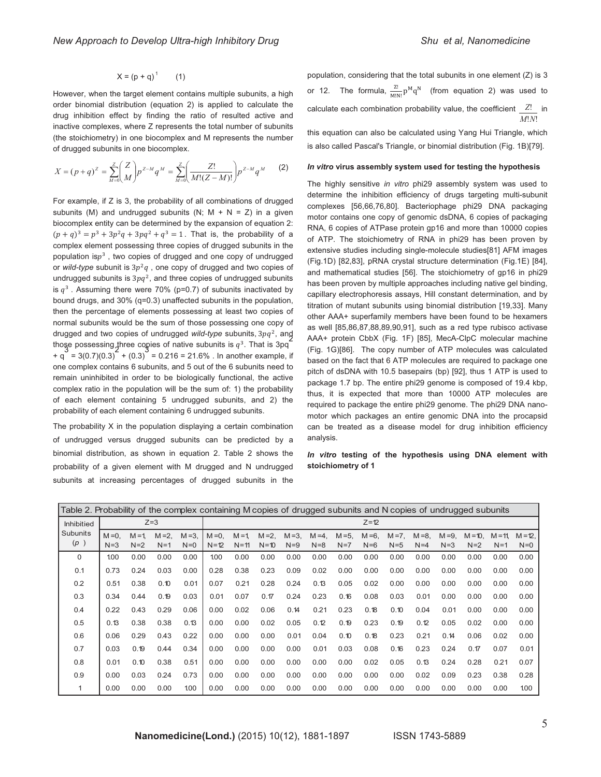$$
X = (p + q)^{1} \qquad (1)
$$

However, when the target element contains multiple subunits, a high order binomial distribution (equation 2) is applied to calculate the drug inhibition effect by finding the ratio of resulted active and inactive complexes, where Z represents the total number of subunits (the stoichiometry) in one biocomplex and M represents the number of drugged subunits in one biocomplex.

$$
X = (p+q)^{Z} = \sum_{M=0}^{Z} {Z \choose M} p^{Z-M} q^{M} = \sum_{M=0}^{Z} {Z! \over M!(Z-M)!} p^{Z-M} q^{M}
$$
 (2)

For example, if Z is 3, the probability of all combinations of drugged subunits (M) and undrugged subunits (N;  $M + N = Z$ ) in a given biocomplex entity can be determined by the expansion of equation 2:  $(p+q)^3 = p^3 + 3p^2q + 3pq^2 + q^3 = 1$ . That is, the probability of a complex element possessing three copies of drugged subunits in the population is $p<sup>3</sup>$ , two copies of drugged and one copy of undrugged or *wild-type* subunit is  $3p^2q$ , one copy of drugged and two copies of undrugged subunits is  $3pq^2$ , and three copies of undrugged subunits is  $q^3$ . Assuming there were 70% (p=0.7) of subunits inactivated by bound drugs, and 30% (q=0.3) unaffected subunits in the population, then the percentage of elements possessing at least two copies of normal subunits would be the sum of those possessing one copy of drugged and two copies of undrugged *wild-type* subunits, 3pq<sup>2</sup>, and  $\frac{1}{2}$ those possessing three copies of native subunits is  $q^3$ . That is 3pq<sup>2</sup>  $+ q = 3(0.7)(0.3)^2 + (0.3)^3 = 0.216 = 21.6\%$ . In another example, if one complex contains 6 subunits, and 5 out of the 6 subunits need to remain uninhibited in order to be biologically functional, the active complex ratio in the population will be the sum of: 1) the probability of each element containing 5 undrugged subunits, and 2) the probability of each element containing 6 undrugged subunits.

The probability X in the population displaying a certain combination of undrugged versus drugged subunits can be predicted by a binomial distribution, as shown in equation 2. Table 2 shows the probability of a given element with M drugged and N undrugged subunits at increasing percentages of drugged subunits in the population, considering that the total subunits in one element (Z) is 3 or 12. The formula,  $\frac{Z!}{M!N!}p^Mq^N$  (from equation 2) was used to calculate each combination probability value, the coefficient  $Z!$  in  $M!N!$ 

this equation can also be calculated using Yang Hui Triangle, which is also called Pascal's Triangle, or binomial distribution (Fig. 1B)[79].

#### *In vitro* **virus assembly system used for testing the hypothesis**

The highly sensitive *in vitro* phi29 assembly system was used to determine the inhibition efficiency of drugs targeting multi-subunit complexes [56,66,76,80]. Bacteriophage phi29 DNA packaging motor contains one copy of genomic dsDNA, 6 copies of packaging RNA, 6 copies of ATPase protein gp16 and more than 10000 copies of ATP. The stoichiometry of RNA in phi29 has been proven by extensive studies including single-molecule studies[81] AFM images (Fig.1D) [82,83], pRNA crystal structure determination (Fig.1E) [84], and mathematical studies [56]. The stoichiometry of gp16 in phi29 has been proven by multiple approaches including native gel binding, capillary electrophoresis assays, Hill constant determination, and by titration of mutant subunits using binomial distribution [19,33]. Many other AAA+ superfamily members have been found to be hexamers as well [85,86,87,88,89,90,91], such as a red type rubisco activase AAA+ protein CbbX (Fig. 1F) [85], MecA-ClpC molecular machine (Fig. 1G)[86]. The copy number of ATP molecules was calculated based on the fact that 6 ATP molecules are required to package one pitch of dsDNA with 10.5 basepairs (bp) [92], thus 1 ATP is used to package 1.7 bp. The entire phi29 genome is composed of 19.4 kbp, thus, it is expected that more than 10000 ATP molecules are required to package the entire phi29 genome. The phi29 DNA nanomotor which packages an entire genomic DNA into the procapsid can be treated as a disease model for drug inhibition efficiency analysis.

*In vitro* **testing of the hypothesis using DNA element with stoichiometry of 1** 

| Table 2. Probability of the complex containing M copies of drugged subunits and N copies of undrugged subunits |                    |                    |                   |                    |                       |                       |                       |                  |                      |                    |                    |                    |                    |                     |                    |                     |                    |
|----------------------------------------------------------------------------------------------------------------|--------------------|--------------------|-------------------|--------------------|-----------------------|-----------------------|-----------------------|------------------|----------------------|--------------------|--------------------|--------------------|--------------------|---------------------|--------------------|---------------------|--------------------|
| <b>Inhibitied</b><br><b>Subunits</b><br>(p)                                                                    | $Z=3$              |                    |                   |                    | $Z=12$                |                       |                       |                  |                      |                    |                    |                    |                    |                     |                    |                     |                    |
|                                                                                                                | $M = 0$ .<br>$N=3$ | $M = 1$ .<br>$N=2$ | $M = 2.$<br>$N=1$ | $M = 3$ .<br>$N=0$ | $M = 0$ .<br>$N = 12$ | $M = 1$ .<br>$N = 11$ | $M = 2$ ,<br>$N = 10$ | $M = 3$<br>$N=9$ | $M = 4$ .<br>$N = 8$ | $M = 5$ ,<br>$N=7$ | $M = 6$ .<br>$N=6$ | $M = 7$ .<br>$N=5$ | $M = 8$ .<br>$N=4$ | $M = 9.$<br>$N = 3$ | $M = 10.$<br>$N=2$ | $M = 11$ .<br>$N=1$ | $M = 12.$<br>$N=0$ |
| 0                                                                                                              | 1.00               | 0.00               | 0.00              | 0.00               | 1.00                  | 0.00                  | 0.00                  | 0.00             | 0.00                 | 0.00               | 0.00               | 0.00               | 0.00               | 0.00                | 0.00               | 0.00                | 0.00               |
| 0.1                                                                                                            | 0.73               | 0.24               | 0.03              | 0.00               | 0.28                  | 0.38                  | 0.23                  | 0.09             | 0.02                 | 0.00               | 0.00               | 0.00               | 0.00               | 0.00                | 0.00               | 0.00                | 0.00               |
| 0.2                                                                                                            | 0.51               | 0.38               | 0.10              | 0.01               | 0.07                  | 0.21                  | 0.28                  | 0.24             | 0.13                 | 0.05               | 0.02               | 0.00               | 0.00               | 0.00                | 0.00               | 0.00                | 0.00               |
| 0.3                                                                                                            | 0.34               | 0.44               | 0.19              | 0.03               | 0.01                  | 0.07                  | 0.17                  | 0.24             | 0.23                 | 0.16               | 0.08               | 0.03               | 0.01               | 0.00                | 0.00               | 0.00                | 0.00               |
| 0.4                                                                                                            | 0.22               | 0.43               | 0.29              | 0.06               | 0.00                  | 0.02                  | 0.06                  | 0.14             | 0.21                 | 0.23               | 0.18               | 0.10               | 0.04               | 0.01                | 0.00               | 0.00                | 0.00               |
| 0.5                                                                                                            | 0.13               | 0.38               | 0.38              | 0.13               | 0.00                  | 0.00                  | 0.02                  | 0.05             | 0.12                 | 0.19               | 0.23               | 0.19               | 0.12               | 0.05                | 0.02               | 0.00                | 0.00               |
| 0.6                                                                                                            | 0.06               | 0.29               | 0.43              | 0.22               | 0.00                  | 0.00                  | 0.00                  | 0.01             | 0.04                 | 0.10               | 0.18               | 0.23               | 0.21               | 0.14                | 0.06               | 0.02                | 0.00               |
| 0.7                                                                                                            | 0.03               | 0.19               | 0.44              | 0.34               | 0.00                  | 0.00                  | 0.00                  | 0.00             | 0.01                 | 0.03               | 0.08               | 0.16               | 0.23               | 0.24                | 0.17               | 0.07                | 0.01               |
| 0.8                                                                                                            | 0.01               | 0.10               | 0.38              | 0.51               | 0.00                  | 0.00                  | 0.00                  | 0.00             | 0.00                 | 0.00               | 0.02               | 0.05               | 0.13               | 0.24                | 0.28               | 0.21                | 0.07               |
| 0.9                                                                                                            | 0.00               | 0.03               | 0.24              | 0.73               | 0.00                  | 0.00                  | 0.00                  | 0.00             | 0.00                 | 0.00               | 0.00               | 0.00               | 0.02               | 0.09                | 0.23               | 0.38                | 0.28               |
| 1                                                                                                              | 0.00               | 0.00               | 0.00              | 1.00               | 0.00                  | 0.00                  | 0.00                  | 0.00             | 0.00                 | 0.00               | 0.00               | 0.00               | 0.00               | 0.00                | 0.00               | 0.00                | 1.00               |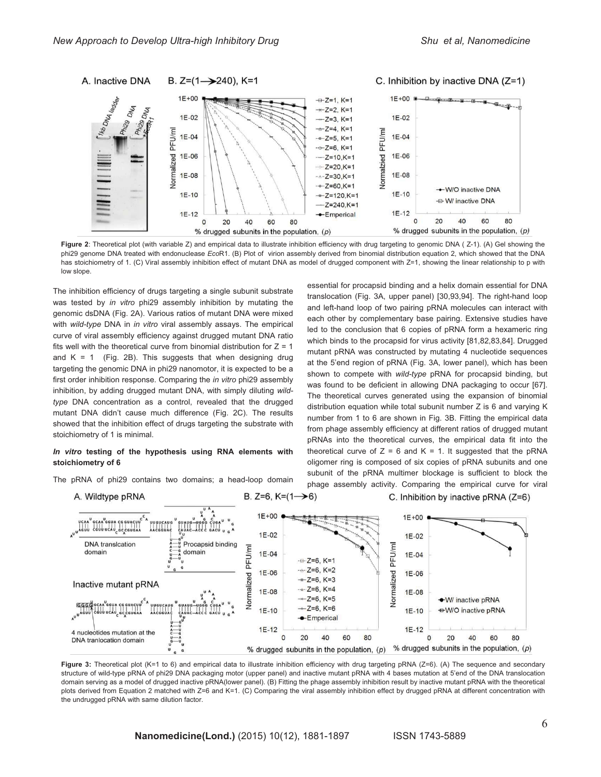

Figure 2: Theoretical plot (with variable Z) and empirical data to illustrate inhibition efficiency with drug targeting to genomic DNA ( Z-1). (A) Gel showing the phi29 genome DNA treated with endonuclease *Eco*R1. (B) Plot of virion assembly derived from binomial distribution equation 2, which showed that the DNA has stoichiometry of 1, (C) Viral assembly inhibition effect of mutant DNA as model of drugged component with Z=1, showing the linear relationship to p with low slope.

The inhibition efficiency of drugs targeting a single subunit substrate was tested by *in vitro* phi29 assembly inhibition by mutating the genomic dsDNA (Fig. 2A). Various ratios of mutant DNA were mixed with *wild-type* DNA in *in vitro* viral assembly assays. The empirical curve of viral assembly efficiency against drugged mutant DNA ratio fits well with the theoretical curve from binomial distribution for  $Z = 1$ and  $K = 1$  (Fig. 2B). This suggests that when designing drug targeting the genomic DNA in phi29 nanomotor, it is expected to be a first order inhibition response. Comparing the *in vitro* phi29 assembly inhibition, by adding drugged mutant DNA, with simply diluting *wildtype* DNA concentration as a control, revealed that the drugged mutant DNA didn't cause much difference (Fig. 2C). The results showed that the inhibition effect of drugs targeting the substrate with stoichiometry of 1 is minimal.

#### *In vitro* **testing of the hypothesis using RNA elements with stoichiometry of 6**

The pRNA of phi29 contains two domains; a head-loop domain

shown to compete with *wild-type* pRNA for procapsid binding, but was found to be deficient in allowing DNA packaging to occur [67]. The theoretical curves generated using the expansion of binomial distribution equation while total subunit number Z is 6 and varying K number from 1 to 6 are shown in Fig. 3B. Fitting the empirical data from phage assembly efficiency at different ratios of drugged mutant pRNAs into the theoretical curves, the empirical data fit into the theoretical curve of  $Z = 6$  and  $K = 1$ . It suggested that the pRNA oligomer ring is composed of six copies of pRNA subunits and one subunit of the pRNA multimer blockage is sufficient to block the phage assembly activity. Comparing the empirical curve for viral  $\left( \right)$ C. Inhibition by inactive pRNA (Z=6)

essential for procapsid binding and a helix domain essential for DNA translocation (Fig. 3A, upper panel) [30,93,94]. The right-hand loop and left-hand loop of two pairing pRNA molecules can interact with each other by complementary base pairing. Extensive studies have led to the conclusion that 6 copies of pRNA form a hexameric ring which binds to the procapsid for virus activity [81,82,83,84]. Drugged mutant pRNA was constructed by mutating 4 nucleotide sequences at the 5'end region of pRNA (Fig. 3A, lower panel), which has been



Figure 3: Theoretical plot (K=1 to 6) and empirical data to illustrate inhibition efficiency with drug targeting pRNA (Z=6). (A) The sequence and secondary structure of wild-type pRNA of phi29 DNA packaging motor (upper panel) and inactive mutant pRNA with 4 bases mutation at 5'end of the DNA translocation domain serving as a model of drugged inactive pRNA(lower panel). (B) Fitting the phage assembly inhibition result by inactive mutant pRNA with the theoretical plots derived from Equation 2 matched with Z=6 and K=1. (C) Comparing the viral assembly inhibition effect by drugged pRNA at different concentration with the undrugged pRNA with same dilution factor.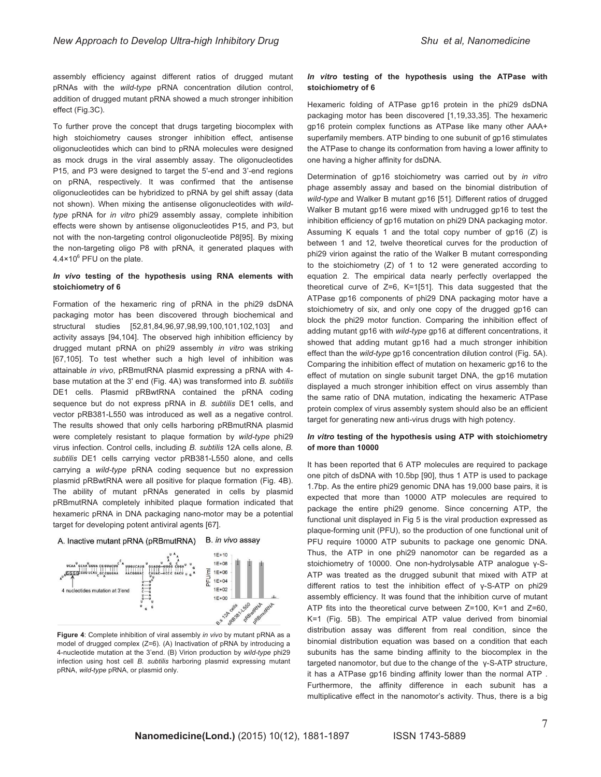assembly efficiency against different ratios of drugged mutant pRNAs with the *wild-type* pRNA concentration dilution control, addition of drugged mutant pRNA showed a much stronger inhibition effect (Fig.3C).

To further prove the concept that drugs targeting biocomplex with high stoichiometry causes stronger inhibition effect, antisense oligonucleotides which can bind to pRNA molecules were designed as mock drugs in the viral assembly assay. The oligonucleotides P15, and P3 were designed to target the 5'-end and 3'-end regions on pRNA, respectively. It was confirmed that the antisense oligonucleotides can be hybridized to pRNA by gel shift assay (data not shown). When mixing the antisense oligonucleotides with *wildtype* pRNA for *in vitro* phi29 assembly assay, complete inhibition effects were shown by antisense oligonucleotides P15, and P3, but not with the non-targeting control oligonucleotide P8[95]. By mixing the non-targeting oligo P8 with pRNA, it generated plaques with 4.4×10 $^6$  PFU on the plate.

#### *In vivo* **testing of the hypothesis using RNA elements with stoichiometry of 6**

Formation of the hexameric ring of pRNA in the phi29 dsDNA packaging motor has been discovered through biochemical and structural studies [52,81,84,96,97,98,99,100,101,102,103] and activity assays [94,104]. The observed high inhibition efficiency by drugged mutant pRNA on phi29 assembly *in vitro* was striking [67,105]. To test whether such a high level of inhibition was attainable *in vivo*, pRBmutRNA plasmid expressing a pRNA with 4 base mutation at the 3' end (Fig. 4A) was transformed into *B. subtilis* DE1 cells. Plasmid pRBwtRNA contained the pRNA coding sequence but do not express pRNA in *B. subtilis* DE1 cells, and vector pRB381-L550 was introduced as well as a negative control. The results showed that only cells harboring pRBmutRNA plasmid were completely resistant to plaque formation by *wild-type* phi29 virus infection. Control cells, including *B. subtilis* 12A cells alone, *B. subtilis* DE1 cells carrying vector pRB381-L550 alone, and cells carrying a *wild-type* pRNA coding sequence but no expression plasmid pRBwtRNA were all positive for plaque formation (Fig. 4B). The ability of mutant pRNAs generated in cells by plasmid pRBmutRNA completely inhibited plaque formation indicated that hexameric pRNA in DNA packaging nano-motor may be a potential target for developing potent antiviral agents [67].





**Figure 4**: Complete inhibition of viral assembly *in vivo* by mutant pRNA as a model of drugged complex (Z=6)*.* (A) Inactivation of pRNA by introducing a 4-nucleotide mutation at the 3'end. (B) Virion production by *wild-type* phi29 infection using host cell *B. subtilis* harboring plasmid expressing mutant pRNA, *wild-type* pRNA, or plasmid only.

#### *In vitro* **testing of the hypothesis using the ATPase with stoichiometry of 6**

Hexameric folding of ATPase gp16 protein in the phi29 dsDNA packaging motor has been discovered [1,19,33,35]. The hexameric gp16 protein complex functions as ATPase like many other AAA+ superfamily members. ATP binding to one subunit of gp16 stimulates the ATPase to change its conformation from having a lower affinity to one having a higher affinity for dsDNA.

Determination of gp16 stoichiometry was carried out by *in vitro* phage assembly assay and based on the binomial distribution of *wild-type* and Walker B mutant gp16 [51]. Different ratios of drugged Walker B mutant gp16 were mixed with undrugged gp16 to test the inhibition efficiency of gp16 mutation on phi29 DNA packaging motor. Assuming K equals 1 and the total copy number of gp16 (Z) is between 1 and 12, twelve theoretical curves for the production of phi29 virion against the ratio of the Walker B mutant corresponding to the stoichiometry (Z) of 1 to 12 were generated according to equation 2. The empirical data nearly perfectly overlapped the theoretical curve of Z=6, K=1[51]. This data suggested that the ATPase gp16 components of phi29 DNA packaging motor have a stoichiometry of six, and only one copy of the drugged gp16 can block the phi29 motor function. Comparing the inhibition effect of adding mutant gp16 with *wild-type* gp16 at different concentrations, it showed that adding mutant gp16 had a much stronger inhibition effect than the *wild-type* gp16 concentration dilution control (Fig. 5A). Comparing the inhibition effect of mutation on hexameric gp16 to the effect of mutation on single subunit target DNA, the gp16 mutation displayed a much stronger inhibition effect on virus assembly than the same ratio of DNA mutation, indicating the hexameric ATPase protein complex of virus assembly system should also be an efficient target for generating new anti-virus drugs with high potency.

#### *In vitro* **testing of the hypothesis using ATP with stoichiometry of more than 10000**

It has been reported that 6 ATP molecules are required to package one pitch of dsDNA with 10.5bp [90], thus 1 ATP is used to package 1.7bp. As the entire phi29 genomic DNA has 19,000 base pairs, it is expected that more than 10000 ATP molecules are required to package the entire phi29 genome. Since concerning ATP, the functional unit displayed in Fig 5 is the viral production expressed as plaque-forming unit (PFU), so the production of one functional unit of PFU require 10000 ATP subunits to package one genomic DNA. Thus, the ATP in one phi29 nanomotor can be regarded as a stoichiometry of 10000. One non-hydrolysable ATP analogue γ-S-ATP was treated as the drugged subunit that mixed with ATP at different ratios to test the inhibition effect of γ-S-ATP on phi29 assembly efficiency. It was found that the inhibition curve of mutant ATP fits into the theoretical curve between Z=100, K=1 and Z=60, K=1 (Fig. 5B). The empirical ATP value derived from binomial distribution assay was different from real condition, since the binomial distribution equation was based on a condition that each subunits has the same binding affinity to the biocomplex in the targeted nanomotor, but due to the change of the γ-S-ATP structure, it has a ATPase gp16 binding affinity lower than the normal ATP . Furthermore, the affinity difference in each subunit has a multiplicative effect in the nanomotor's activity. Thus, there is a big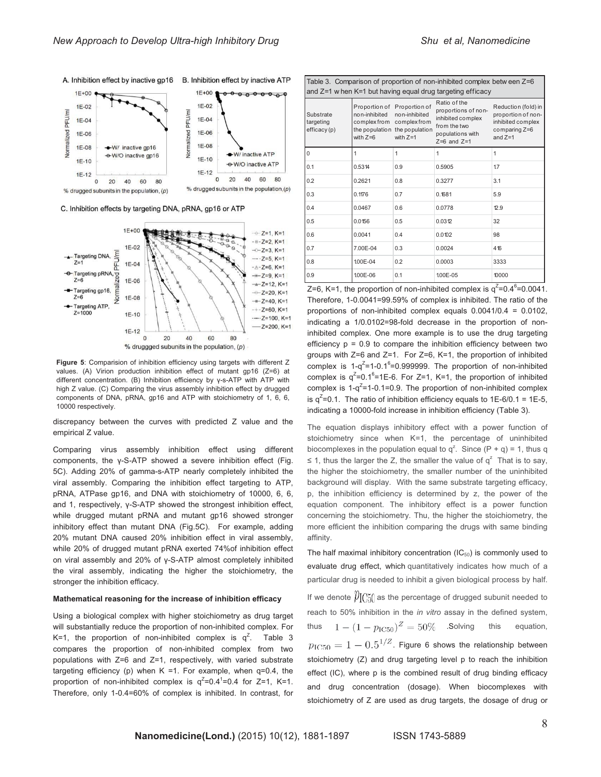

C. Inhibition effects by targeting DNA, pRNA, gp16 or ATP



**Figure 5**: Comparision of inhibition efficiency using targets with different Z values. (A) Virion production inhibition effect of mutant gp16 (Z=6) at different concentration. (B) Inhibition efficiency by γ-s-ATP with ATP with high Z value. (C) Comparing the virus assembly inhibition effect by drugged components of DNA, pRNA, gp16 and ATP with stoichiometry of 1, 6, 6, 10000 respectively.

discrepancy between the curves with predicted Z value and the empirical Z value.

Comparing virus assembly inhibition effect using different components, the γ-S-ATP showed a severe inhibition effect (Fig. 5C). Adding 20% of gamma-s-ATP nearly completely inhibited the viral assembly. Comparing the inhibition effect targeting to ATP, pRNA, ATPase gp16, and DNA with stoichiometry of 10000, 6, 6, and 1, respectively, γ-S-ATP showed the strongest inhibition effect, while drugged mutant pRNA and mutant gp16 showed stronger inhibitory effect than mutant DNA (Fig.5C). For example, adding 20% mutant DNA caused 20% inhibition effect in viral assembly, while 20% of drugged mutant pRNA exerted 74%of inhibition effect on viral assembly and 20% of γ-S-ATP almost completely inhibited the viral assembly, indicating the higher the stoichiometry, the stronger the inhibition efficacy.

#### **Mathematical reasoning for the increase of inhibition efficacy**

Using a biological complex with higher stoichiometry as drug target will substantially reduce the proportion of non-inhibited complex. For K=1, the proportion of non-inhibited complex is  $q^Z$ . Table 3 compares the proportion of non-inhibited complex from two populations with Z=6 and Z=1, respectively, with varied substrate targeting efficiency (p) when  $K = 1$ . For example, when  $q=0.4$ , the proportion of non-inhibited complex is  $q^2=0.4^1=0.4$  for Z=1, K=1. Therefore, only 1-0.4=60% of complex is inhibited. In contrast, for

| Table 3. Comparison of proportion of non-inhibited complex between $Z=6$ |                                                                                         |                                                              |                                                                                                                 |                                                                                              |  |  |  |  |  |
|--------------------------------------------------------------------------|-----------------------------------------------------------------------------------------|--------------------------------------------------------------|-----------------------------------------------------------------------------------------------------------------|----------------------------------------------------------------------------------------------|--|--|--|--|--|
| and $Z=1$ when $K=1$ but having equal drug targeting efficacy            |                                                                                         |                                                              |                                                                                                                 |                                                                                              |  |  |  |  |  |
| Substrate<br>targeting<br>efficacy(p)                                    | Proportion of Proportion of<br>non-inhibited<br>complex from complex from<br>with $Z=6$ | non-inhibited<br>the population the population<br>with $Z=1$ | Ratio of the<br>proportions of non-<br>inhibited complex<br>from the two<br>populations with<br>$Z=6$ and $Z=1$ | Reduction (fold) in<br>proportion of non-<br>inhibited complex<br>comparing Z=6<br>and $Z=1$ |  |  |  |  |  |
| 0                                                                        |                                                                                         | 1                                                            | 1                                                                                                               | $\mathbf{1}$                                                                                 |  |  |  |  |  |
| 0.1                                                                      | 0.5314                                                                                  | 0.9                                                          | 0.5905                                                                                                          | 17                                                                                           |  |  |  |  |  |
| 0.2                                                                      | 0.2621                                                                                  | 0.8                                                          | 0.3277                                                                                                          | 3.1                                                                                          |  |  |  |  |  |
| 0.3                                                                      | 0.1176                                                                                  | 0.7                                                          | 0.1681                                                                                                          | 5.9                                                                                          |  |  |  |  |  |
| 0.4                                                                      | 0.0467                                                                                  | 0.6                                                          | 0.0778                                                                                                          | 12.9                                                                                         |  |  |  |  |  |
| 0.5                                                                      | 0.0156                                                                                  | 0.5                                                          | 0.0312                                                                                                          | 32                                                                                           |  |  |  |  |  |
| 0.6                                                                      | 0.0041                                                                                  | 0.4                                                          | 0.0102                                                                                                          | 98                                                                                           |  |  |  |  |  |
| 0.7                                                                      | 7.00E-04                                                                                | 0.3                                                          | 0.0024                                                                                                          | 416                                                                                          |  |  |  |  |  |
| 0.8                                                                      | 100E-04                                                                                 | 0.2                                                          | 0.0003                                                                                                          | 3333                                                                                         |  |  |  |  |  |
| 0.9                                                                      | 1.00E-06                                                                                | 0.1                                                          | 100E-05                                                                                                         | 10000                                                                                        |  |  |  |  |  |

Z=6, K=1, the proportion of non-inhibited complex is  $q^2$ =0.4<sup>6</sup>=0.0041. Therefore, 1-0.0041=99.59% of complex is inhibited. The ratio of the proportions of non-inhibited complex equals 0.0041/0.4 = 0.0102, indicating a 1/0.0102=98-fold decrease in the proportion of noninhibited complex. One more example is to use the drug targeting efficiency  $p = 0.9$  to compare the inhibition efficiency between two groups with Z=6 and Z=1. For Z=6, K=1, the proportion of inhibited complex is  $1-q^2=1-0.1<sup>6</sup>=0.999999$ . The proportion of non-inhibited complex is  $q^2$ =0.1<sup>6</sup>=1E-6. For Z=1, K=1, the proportion of inhibited complex is  $1-q^2 = 1-0.1=0.9$ . The proportion of non-inhibited complex is  $q^2$ =0.1. The ratio of inhibition efficiency equals to 1E-6/0.1 = 1E-5, indicating a 10000-fold increase in inhibition efficiency (Table 3).

The equation displays inhibitory effect with a power function of stoichiometry since when K=1, the percentage of uninhibited biocomplexes in the population equal to  $q^z$ . Since  $(P + q) = 1$ , thus q ≤ 1, thus the larger the Z, the smaller the value of  $q^2$  That is to say, the higher the stoichiometry, the smaller number of the uninhibited background will display. With the same substrate targeting efficacy, p, the inhibition efficiency is determined by z, the power of the equation component. The inhibitory effect is a power function concerning the stoichiometry. Thu, the higher the stoichiometry, the more efficient the inhibition comparing the drugs with same binding affinity.

The half maximal inhibitory concentration  $(IC_{50})$  is commonly used to evaluate drug effect, which quantitatively indicates how much of a particular drug is needed to inhibit a given biological process by half. If we denote  $\mathcal{V}[\gamma_{0}]$  as the percentage of drugged subunit needed to reach to 50% inhibition in the *in vitro* assay in the defined system, thus  $1 - (1 - p_{\text{IC}50})^Z = 50\%$  . Solving this equation,  $p_{\text{IC50}} = 1 - 0.5^{1/Z}$ . Figure 6 shows the relationship between stoichiometry (Z) and drug targeting level p to reach the inhibition effect (IC), where p is the combined result of drug binding efficacy and drug concentration (dosage). When biocomplexes with stoichiometry of Z are used as drug targets, the dosage of drug or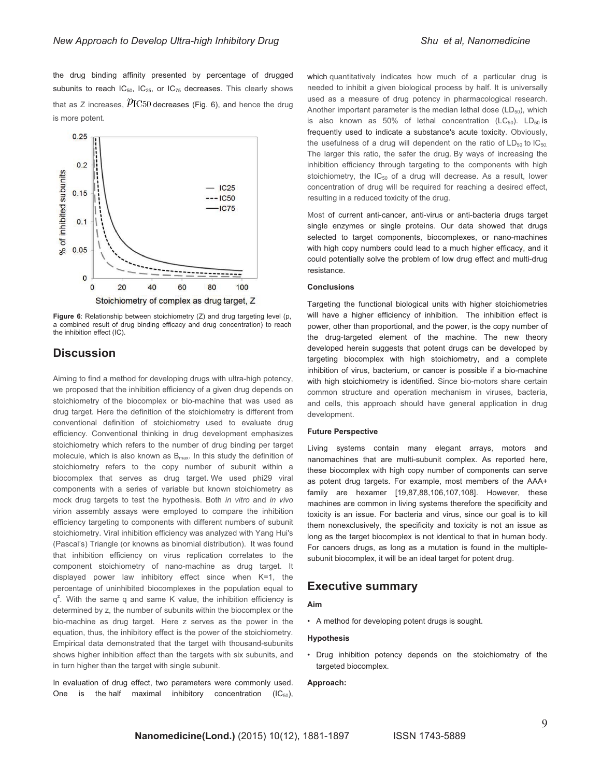the drug binding affinity presented by percentage of drugged subunits to reach  $IC_{50}$ ,  $IC_{25}$ , or  $IC_{75}$  decreases. This clearly shows that as Z increases,  $p_{\text{IC50}}$  decreases (Fig. 6), and hence the drug is more potent.



**Figure 6**: Relationship between stoichiometry (Z) and drug targeting level (p, a combined result of drug binding efficacy and drug concentration) to reach the inhibition effect (IC).

### **Discussion**

Aiming to find a method for developing drugs with ultra-high potency, we proposed that the inhibition efficiency of a given drug depends on stoichiometry of the biocomplex or bio-machine that was used as drug target. Here the definition of the stoichiometry is different from conventional definition of stoichiometry used to evaluate drug efficiency. Conventional thinking in drug development emphasizes stoichiometry which refers to the number of drug binding per target molecule, which is also known as  $B_{\text{max}}$ . In this study the definition of stoichiometry refers to the copy number of subunit within a biocomplex that serves as drug target. We used phi29 viral components with a series of variable but known stoichiometry as mock drug targets to test the hypothesis. Both *in vitro* and *in vivo* virion assembly assays were employed to compare the inhibition efficiency targeting to components with different numbers of subunit stoichiometry. Viral inhibition efficiency was analyzed with Yang Hui's (Pascal's) Triangle (or knowns as binomial distribution). It was found that inhibition efficiency on virus replication correlates to the component stoichiometry of nano-machine as drug target. It displayed power law inhibitory effect since when K=1, the percentage of uninhibited biocomplexes in the population equal to  $q^2$ . With the same q and same K value, the inhibition efficiency is determined by z, the number of subunits within the biocomplex or the bio-machine as drug target. Here z serves as the power in the equation, thus, the inhibitory effect is the power of the stoichiometry. Empirical data demonstrated that the target with thousand-subunits shows higher inhibition effect than the targets with six subunits, and in turn higher than the target with single subunit.

In evaluation of drug effect, two parameters were commonly used. One is the half maximal inhibitory concentration  $(IC_{50})$ ,

which quantitatively indicates how much of a particular drug is needed to inhibit a given biological process by half. It is universally used as a measure of drug potency in pharmacological research. Another important parameter is the median lethal dose  $(LD_{50})$ , which is also known as 50% of lethal concentration  $(LC_{50})$ . LD<sub>50</sub> is frequently used to indicate a substance's acute toxicity. Obviously, the usefulness of a drug will dependent on the ratio of  $LD_{50}$  to  $IC_{50}$ . The larger this ratio, the safer the drug. By ways of increasing the inhibition efficiency through targeting to the components with high stoichiometry, the  $IC_{50}$  of a drug will decrease. As a result, lower concentration of drug will be required for reaching a desired effect, resulting in a reduced toxicity of the drug.

Most of current anti-cancer, anti-virus or anti-bacteria drugs target single enzymes or single proteins. Our data showed that drugs selected to target components, biocomplexes, or nano-machines with high copy numbers could lead to a much higher efficacy, and it could potentially solve the problem of low drug effect and multi-drug resistance.

#### **Conclusions**

Targeting the functional biological units with higher stoichiometries will have a higher efficiency of inhibition. The inhibition effect is power, other than proportional, and the power, is the copy number of the drug-targeted element of the machine. The new theory developed herein suggests that potent drugs can be developed by targeting biocomplex with high stoichiometry, and a complete inhibition of virus, bacterium, or cancer is possible if a bio-machine with high stoichiometry is identified. Since bio-motors share certain common structure and operation mechanism in viruses, bacteria, and cells, this approach should have general application in drug development.

#### **Future Perspective**

Living systems contain many elegant arrays, motors and nanomachines that are multi-subunit complex. As reported here, these biocomplex with high copy number of components can serve as potent drug targets. For example, most members of the AAA+ family are hexamer [19,87,88,106,107,108]. However, these machines are common in living systems therefore the specificity and toxicity is an issue. For bacteria and virus, since our goal is to kill them nonexclusively, the specificity and toxicity is not an issue as long as the target biocomplex is not identical to that in human body. For cancers drugs, as long as a mutation is found in the multiplesubunit biocomplex, it will be an ideal target for potent drug.

### **Executive summary**

#### **Aim**

• A method for developing potent drugs is sought.

#### **Hypothesis**

• Drug inhibition potency depends on the stoichiometry of the targeted biocomplex.

#### **Approach:**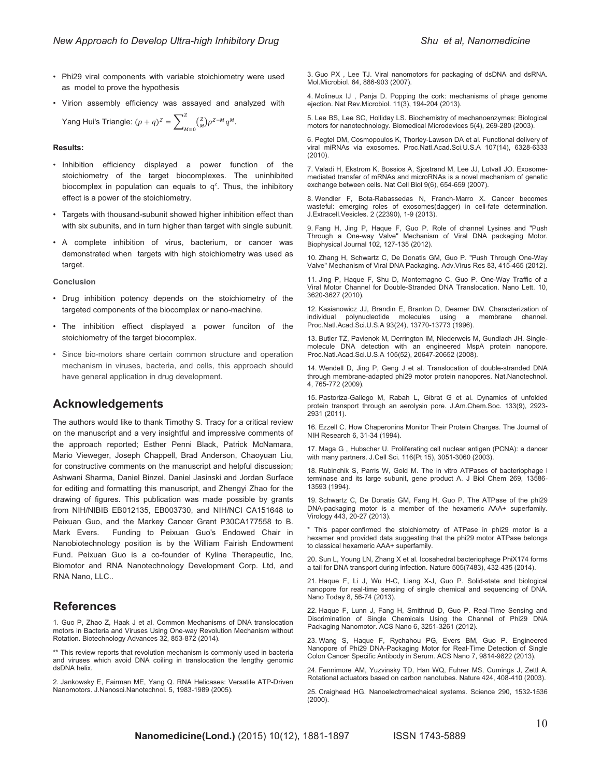- Phi29 viral components with variable stoichiometry were used as model to prove the hypothesis
- Virion assembly efficiency was assayed and analyzed with

Yang Hui's Triangle: 
$$
(p+q)^{Z} = \sum_{M=0}^{Z} {Z \choose M} p^{Z-M} q^{M}
$$
.

#### **Results:**

- Inhibition efficiency displayed a power function of the stoichiometry of the target biocomplexes. The uninhibited biocomplex in population can equals to  $q^z$ . Thus, the inhibitory effect is a power of the stoichiometry.
- Targets with thousand-subunit showed higher inhibition effect than with six subunits, and in turn higher than target with single subunit.
- A complete inhibition of virus, bacterium, or cancer was demonstrated when targets with high stoichiometry was used as target.

**Conclusion** 

- Drug inhibition potency depends on the stoichiometry of the targeted components of the biocomplex or nano-machine.
- The inhibition effiect displayed a power funciton of the stoichiometry of the target biocomplex.
- Since bio-motors share certain common structure and operation mechanism in viruses, bacteria, and cells, this approach should have general application in drug development.

### **Acknowledgements**

The authors would like to thank Timothy S. Tracy for a critical review on the manuscript and a very insightful and impressive comments of the approach reported; Esther Penni Black, Patrick McNamara, Mario Vieweger, Joseph Chappell, Brad Anderson, Chaoyuan Liu, for constructive comments on the manuscript and helpful discussion; Ashwani Sharma, Daniel Binzel, Daniel Jasinski and Jordan Surface for editing and formatting this manuscript, and Zhengyi Zhao for the drawing of figures. This publication was made possible by grants from NIH/NIBIB EB012135, EB003730, and NIH/NCI CA151648 to Peixuan Guo, and the Markey Cancer Grant P30CA177558 to B. Mark Evers. Funding to Peixuan Guo's Endowed Chair in Nanobiotechnology position is by the William Fairish Endowment Fund. Peixuan Guo is a co-founder of Kyline Therapeutic, Inc, Biomotor and RNA Nanotechnology Development Corp. Ltd, and RNA Nano, LLC..

### **References**

1. Guo P, Zhao Z, Haak J et al. Common Mechanisms of DNA translocation motors in Bacteria and Viruses Using One-way Revolution Mechanism without Rotation. Biotechnology Advances 32, 853-872 (2014).

\*\* This review reports that revolution mechanism is commonly used in bacteria and viruses which avoid DNA coiling in translocation the lengthy genomic dsDNA helix.

2. Jankowsky E, Fairman ME, Yang Q. RNA Helicases: Versatile ATP-Driven Nanomotors. J.Nanosci.Nanotechnol. 5, 1983-1989 (2005).

3. Guo PX , Lee TJ. Viral nanomotors for packaging of dsDNA and dsRNA. Mol.Microbiol. 64, 886-903 (2007).

4. Molineux IJ , Panja D. Popping the cork: mechanisms of phage genome ejection. Nat Rev.Microbiol. 11(3), 194-204 (2013).

5. Lee BS, Lee SC, Holliday LS. Biochemistry of mechanoenzymes: Biological motors for nanotechnology. Biomedical Microdevices 5(4), 269-280 (2003).

6. Pegtel DM, Cosmopoulos K, Thorley-Lawson DA et al. Functional delivery of viral miRNAs via exosomes. Proc.Natl.Acad.Sci.U.S.A 107(14), 6328-6333 (2010).

7. Valadi H, Ekstrom K, Bossios A, Sjostrand M, Lee JJ, Lotvall JO. Exosomemediated transfer of mRNAs and microRNAs is a novel mechanism of genetic exchange between cells. Nat Cell Biol 9(6), 654-659 (2007).

8. Wendler F, Bota-Rabassedas N, Franch-Marro X. Cancer becomes wasteful: emerging roles of exosomes(dagger) in cell-fate determination. J.Extracell.Vesicles. 2 (22390), 1-9 (2013).

9. Fang H, Jing P, Haque F, Guo P. Role of channel Lysines and "Push Through a One-way Valve" Mechanism of Viral DNA packaging Motor. Biophysical Journal 102, 127-135 (2012).

10. Zhang H, Schwartz C, De Donatis GM, Guo P. "Push Through One-Way Valve" Mechanism of Viral DNA Packaging. Adv.Virus Res 83, 415-465 (2012).

11. Jing P, Haque F, Shu D, Montemagno C, Guo P. One-Way Traffic of a Viral Motor Channel for Double-Stranded DNA Translocation. Nano Lett. 10, 3620-3627 (2010).

12. Kasianowicz JJ, Brandin E, Branton D, Deamer DW. Characterization of individual polynucleotide molecules using a membrane channel. Proc.Natl.Acad.Sci.U.S.A 93(24), 13770-13773 (1996).

13. Butler TZ, Pavlenok M, Derrington IM, Niederweis M, Gundlach JH. Singlemolecule DNA detection with an engineered MspA protein nanopore. Proc.Natl.Acad.Sci.U.S.A 105(52), 20647-20652 (2008).

14. Wendell D, Jing P, Geng J et al. Translocation of double-stranded DNA through membrane-adapted phi29 motor protein nanopores. Nat.Nanotechnol. 4, 765-772 (2009).

15. Pastoriza-Gallego M, Rabah L, Gibrat G et al. Dynamics of unfolded protein transport through an aerolysin pore. J.Am.Chem.Soc. 133(9), 2923- 2931 (2011).

16. Ezzell C. How Chaperonins Monitor Their Protein Charges. The Journal of NIH Research 6, 31-34 (1994).

17. Maga G , Hubscher U. Proliferating cell nuclear antigen (PCNA): a dancer with many partners. J.Cell Sci. 116(Pt 15), 3051-3060 (2003).

18. Rubinchik S, Parris W, Gold M. The in vitro ATPases of bacteriophage l terminase and its large subunit, gene product A. J Biol Chem 269, 13586- 13593 (1994).

19. Schwartz C, De Donatis GM, Fang H, Guo P. The ATPase of the phi29 DNA-packaging motor is a member of the hexameric AAA+ superfamily. Virology 443, 20-27 (2013).

\* This paper confirmed the stoichiometry of ATPase in phi29 motor is a hexamer and provided data suggesting that the phi29 motor ATPase belongs to classical hexameric AAA+ superfamily.

20. Sun L, Young LN, Zhang X et al. Icosahedral bacteriophage PhiX174 forms a tail for DNA transport during infection. Nature 505(7483), 432-435 (2014).

21. Haque F, Li J, Wu H-C, Liang X-J, Guo P. Solid-state and biological nanopore for real-time sensing of single chemical and sequencing of DNA. Nano Today 8, 56-74 (2013).

22. Haque F, Lunn J, Fang H, Smithrud D, Guo P. Real-Time Sensing and Discrimination of Single Chemicals Using the Channel of Phi29 DNA Packaging Nanomotor. ACS Nano 6, 3251-3261 (2012).

23. Wang S, Haque F, Rychahou PG, Evers BM, Guo P. Engineered Nanopore of Phi29 DNA-Packaging Motor for Real-Time Detection of Single Colon Cancer Specific Antibody in Serum. ACS Nano 7, 9814-9822 (2013).

24. Fennimore AM, Yuzvinsky TD, Han WQ, Fuhrer MS, Cumings J, Zettl A. Rotational actuators based on carbon nanotubes. Nature 424, 408-410 (2003).

25. Craighead HG. Nanoelectromechaical systems. Science 290, 1532-1536 (2000).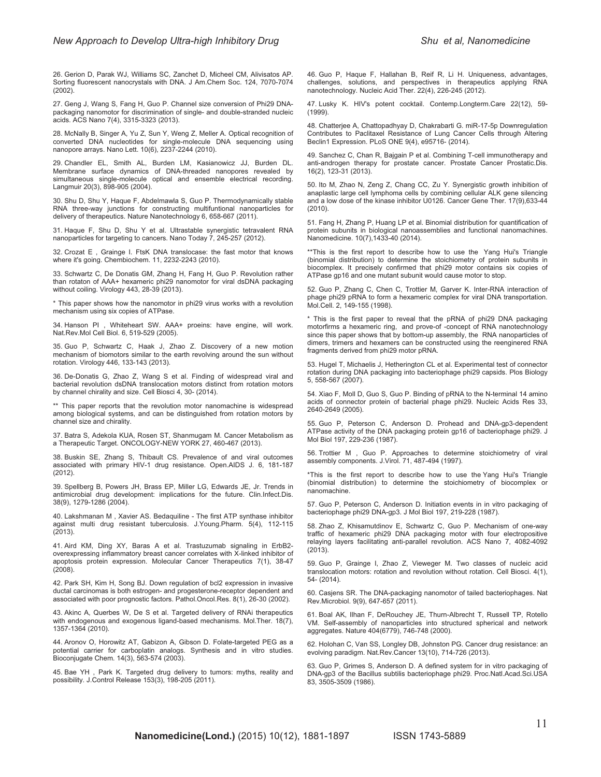26. Gerion D, Parak WJ, Williams SC, Zanchet D, Micheel CM, Alivisatos AP. Sorting fluorescent nanocrystals with DNA. J Am.Chem Soc. 124, 7070-7074 (2002).

27. Geng J, Wang S, Fang H, Guo P. Channel size conversion of Phi29 DNApackaging nanomotor for discrimination of single- and double-stranded nucleic acids. ACS Nano 7(4), 3315-3323 (2013).

28. McNally B, Singer A, Yu Z, Sun Y, Weng Z, Meller A. Optical recognition of converted DNA nucleotides for single-molecule DNA sequencing using nanopore arrays. Nano Lett. 10(6), 2237-2244 (2010).

29. Chandler EL, Smith AL, Burden LM, Kasianowicz JJ, Burden DL. Membrane surface dynamics of DNA-threaded nanopores revealed by simultaneous single-molecule optical and ensemble electrical recording. Langmuir 20(3), 898-905 (2004).

30. Shu D, Shu Y, Haque F, Abdelmawla S, Guo P. Thermodynamically stable RNA three-way junctions for constructing multifuntional nanoparticles for delivery of therapeutics. Nature Nanotechnology 6, 658-667 (2011).

31. Haque F, Shu D, Shu Y et al. Ultrastable synergistic tetravalent RNA nanoparticles for targeting to cancers. Nano Today 7, 245-257 (2012).

32. Crozat E , Grainge I. FtsK DNA translocase: the fast motor that knows where it's going. Chembiochem. 11, 2232-2243 (2010).

33. Schwartz C, De Donatis GM, Zhang H, Fang H, Guo P. Revolution rather than rotaton of AAA+ hexameric phi29 nanomotor for viral dsDNA packaging without coiling. Virology 443, 28-39 (2013).

\* This paper shows how the nanomotor in phi29 virus works with a revolution mechanism using six copies of ATPase.

34. Hanson PI , Whiteheart SW. AAA+ proeins: have engine, will work. Nat.Rev.Mol Cell Biol. 6, 519-529 (2005).

35. Guo P, Schwartz C, Haak J, Zhao Z. Discovery of a new motion mechanism of biomotors similar to the earth revolving around the sun without rotation. Virology 446, 133-143 (2013).

36. De-Donatis G, Zhao Z, Wang S et al. Finding of widespread viral and bacterial revolution dsDNA translocation motors distinct from rotation motors by channel chirality and size. Cell Biosci 4, 30- (2014).

\*\* This paper reports that the revolution motor nanomachine is widespread among biological systems, and can be distinguished from rotation motors by channel size and chirality.

37. Batra S, Adekola KUA, Rosen ST, Shanmugam M. Cancer Metabolism as a Therapeutic Target. ONCOLOGY-NEW YORK 27, 460-467 (2013).

38. Buskin SE, Zhang S, Thibault CS. Prevalence of and viral outcomes associated with primary HIV-1 drug resistance. Open.AIDS J. 6, 181-187 (2012).

39. Spellberg B, Powers JH, Brass EP, Miller LG, Edwards JE, Jr. Trends in antimicrobial drug development: implications for the future. Clin.Infect.Dis. 38(9), 1279-1286 (2004).

40. Lakshmanan M , Xavier AS. Bedaquiline - The first ATP synthase inhibitor against multi drug resistant tuberculosis. J.Young.Pharm. 5(4), 112-115 (2013).

41. Aird KM, Ding XY, Baras A et al. Trastuzumab signaling in ErbB2 overexpressing inflammatory breast cancer correlates with X-linked inhibitor of apoptosis protein expression. Molecular Cancer Therapeutics 7(1), 38-47 (2008).

42. Park SH, Kim H, Song BJ. Down regulation of bcl2 expression in invasive ductal carcinomas is both estrogen- and progesterone-receptor dependent and associated with poor prognostic factors. Pathol.Oncol.Res. 8(1), 26-30 (2002).

43. Akinc A, Querbes W, De S et al. Targeted delivery of RNAi therapeutics with endogenous and exogenous ligand-based mechanisms. Mol.Ther. 18(7), 1357-1364 (2010).

44. Aronov O, Horowitz AT, Gabizon A, Gibson D. Folate-targeted PEG as a potential carrier for carboplatin analogs. Synthesis and in vitro studies. Bioconjugate Chem. 14(3), 563-574 (2003).

45. Bae YH , Park K. Targeted drug delivery to tumors: myths, reality and possibility. J.Control Release 153(3), 198-205 (2011).

46. Guo P, Haque F, Hallahan B, Reif R, Li H. Uniqueness, advantages, challenges, solutions, and perspectives in therapeutics applying RNA nanotechnology. Nucleic Acid Ther. 22(4), 226-245 (2012).

47. Lusky K. HIV's potent cocktail. Contemp.Longterm.Care 22(12), 59- (1999).

48. Chatterjee A, Chattopadhyay D, Chakrabarti G. miR-17-5p Downregulation Contributes to Paclitaxel Resistance of Lung Cancer Cells through Altering Beclin1 Expression. PLoS ONE 9(4), e95716- (2014).

49. Sanchez C, Chan R, Bajgain P et al. Combining T-cell immunotherapy and anti-androgen therapy for prostate cancer. Prostate Cancer Prostatic.Dis. 16(2), 123-31 (2013).

50. Ito M, Zhao N, Zeng Z, Chang CC, Zu Y. Synergistic growth inhibition of anaplastic large cell lymphoma cells by combining cellular ALK gene silencing and a low dose of the kinase inhibitor U0126. Cancer Gene Ther. 17(9),633-44 (2010).

51. Fang H, Zhang P, Huang LP et al. Binomial distribution for quantification of protein subunits in biological nanoassemblies and functional nanomachines. Nanomedicine. 10(7),1433-40 (2014).

\*\*This is the first report to describe how to use the Yang Hui's Triangle (binomial distribution) to determine the stoichiometry of protein subunits in biocomplex. It precisely confirmed that phi29 motor contains six copies of ATPase gp16 and one mutant subunit would cause motor to stop.

52. Guo P, Zhang C, Chen C, Trottier M, Garver K. Inter-RNA interaction of phage phi29 pRNA to form a hexameric complex for viral DNA transportation. Mol.Cell. 2, 149-155 (1998).

\* This is the first paper to reveal that the pRNA of phi29 DNA packaging motorfirms a hexameric ring, and prove-of -concept of RNA nanotechnology since this paper shows that by bottom-up assembly, the RNA nanoparticles of dimers, trimers and hexamers can be constructed using the reenginered RNA fragments derived from phi29 motor pRNA.

53. Hugel T, Michaelis J, Hetherington CL et al. Experimental test of connector rotation during DNA packaging into bacteriophage phi29 capsids. Plos Biology 5, 558-567 (2007).

54. Xiao F, Moll D, Guo S, Guo P. Binding of pRNA to the N-terminal 14 amino acids of connector protein of bacterial phage phi29. Nucleic Acids Res 33, 2640-2649 (2005).

55. Guo P, Peterson C, Anderson D. Prohead and DNA-gp3-dependent ATPase activity of the DNA packaging protein gp16 of bacteriophage phi29. J Mol Biol 197, 229-236 (1987).

56. Trottier M , Guo P. Approaches to determine stoichiometry of viral assembly components. J.Virol. 71, 487-494 (1997).

\*This is the first report to describe how to use the Yang Hui's Triangle (binomial distribution) to determine the stoichiometry of biocomplex or nanomachine.

57. Guo P, Peterson C, Anderson D. Initiation events in in vitro packaging of bacteriophage phi29 DNA-gp3. J Mol Biol 197, 219-228 (1987).

58. Zhao Z, Khisamutdinov E, Schwartz C, Guo P. Mechanism of one-way traffic of hexameric phi29 DNA packaging motor with four electropositive relaying layers facilitating anti-parallel revolution. ACS Nano 7, 4082-4092 (2013).

59. Guo P, Grainge I, Zhao Z, Vieweger M. Two classes of nucleic acid translocation motors: rotation and revolution without rotation. Cell Biosci. 4(1), 54- (2014).

60. Casjens SR. The DNA-packaging nanomotor of tailed bacteriophages. Nat Rev.Microbiol. 9(9), 647-657 (2011).

61. Boal AK, Ilhan F, DeRouchey JE, Thurn-Albrecht T, Russell TP, Rotello VM. Self-assembly of nanoparticles into structured spherical and network aggregates. Nature 404(6779), 746-748 (2000).

62. Holohan C, Van SS, Longley DB, Johnston PG. Cancer drug resistance: an evolving paradigm. Nat.Rev.Cancer 13(10), 714-726 (2013).

63. Guo P, Grimes S, Anderson D. A defined system for in vitro packaging of DNA-gp3 of the Bacillus subtilis bacteriophage phi29. Proc.Natl.Acad.Sci.USA 83, 3505-3509 (1986).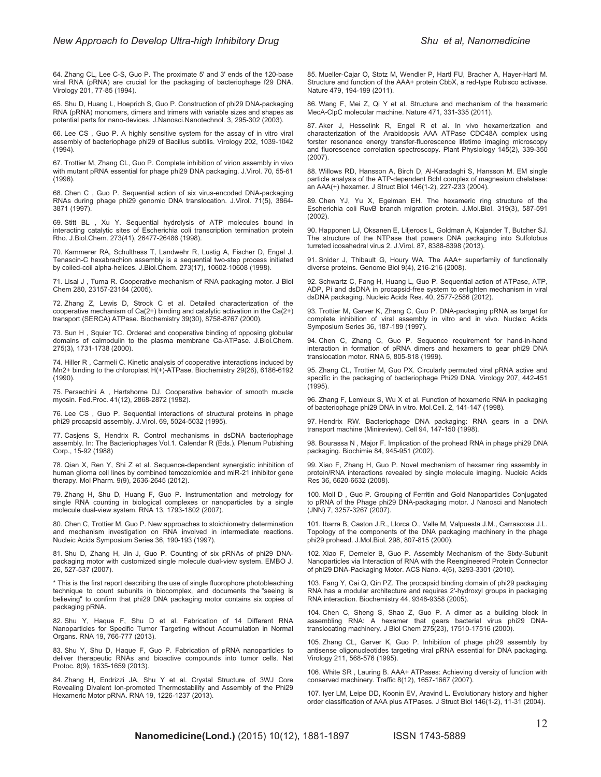64. Zhang CL, Lee C-S, Guo P. The proximate 5' and 3' ends of the 120-base viral RNA (pRNA) are crucial for the packaging of bacteriophage f29 DNA. Virology 201, 77-85 (1994).

65. Shu D, Huang L, Hoeprich S, Guo P. Construction of phi29 DNA-packaging RNA (pRNA) monomers, dimers and trimers with variable sizes and shapes as potential parts for nano-devices. J.Nanosci.Nanotechnol. 3, 295-302 (2003).

66. Lee CS , Guo P. A highly sensitive system for the assay of in vitro viral assembly of bacteriophage phi29 of Bacillus subtilis. Virology 202, 1039-1042 (1994).

67. Trottier M, Zhang CL, Guo P. Complete inhibition of virion assembly in vivo with mutant pRNA essential for phage phi29 DNA packaging. J.Virol. 70, 55-61 (1996).

68. Chen C , Guo P. Sequential action of six virus-encoded DNA-packaging RNAs during phage phi29 genomic DNA translocation. J.Virol. 71(5), 3864- 3871 (1997).

69. Stitt BL , Xu Y. Sequential hydrolysis of ATP molecules bound in interacting catalytic sites of Escherichia coli transcription termination protein Rho. J.Biol.Chem. 273(41), 26477-26486 (1998).

70. Kammerer RA, Schulthess T, Landwehr R, Lustig A, Fischer D, Engel J. Tenascin-C hexabrachion assembly is a sequential two-step process initiated by coiled-coil alpha-helices. J.Biol.Chem. 273(17), 10602-10608 (1998).

71. Lisal J , Tuma R. Cooperative mechanism of RNA packaging motor. J Biol Chem 280, 23157-23164 (2005).

72. Zhang Z, Lewis D, Strock C et al. Detailed characterization of the cooperative mechanism of Ca(2+) binding and catalytic activation in the Ca(2+) transport (SERCA) ATPase. Biochemistry 39(30), 8758-8767 (2000).

73. Sun H , Squier TC. Ordered and cooperative binding of opposing globular domains of calmodulin to the plasma membrane Ca-ATPase. J.Biol.Chem. 275(3), 1731-1738 (2000).

74. Hiller R , Carmeli C. Kinetic analysis of cooperative interactions induced by Mn2+ binding to the chloroplast H(+)-ATPase. Biochemistry 29(26), 6186-6192 (1990).

75. Persechini A , Hartshorne DJ. Cooperative behavior of smooth muscle myosin. Fed.Proc. 41(12), 2868-2872 (1982).

76. Lee CS , Guo P. Sequential interactions of structural proteins in phage phi29 procapsid assembly. J.Virol. 69, 5024-5032 (1995).

77. Casjens S, Hendrix R. Control mechanisms in dsDNA bacteriophage assembly. In: The Bacteriophages Vol.1. Calendar R (Eds.). Plenum Pubishing Corp., 15-92 (1988)

78. Qian X, Ren Y, Shi Z et al. Sequence-dependent synergistic inhibition of human glioma cell lines by combined temozolomide and miR-21 inhibitor gene therapy. Mol Pharm. 9(9), 2636-2645 (2012).

79. Zhang H, Shu D, Huang F, Guo P. Instrumentation and metrology for single RNA counting in biological complexes or nanoparticles by a single molecule dual-view system. RNA 13, 1793-1802 (2007).

80. Chen C, Trottier M, Guo P. New approaches to stoichiometry determination and mechanism investigation on RNA involved in intermediate reactions. Nucleic Acids Symposium Series 36, 190-193 (1997).

81. Shu D, Zhang H, Jin J, Guo P. Counting of six pRNAs of phi29 DNApackaging motor with customized single molecule dual-view system. EMBO J. 26, 527-537 (2007).

\* This is the first report describing the use of single fluorophore photobleaching technique to count subunits in biocomplex, and documents the "seeing is believing" to confirm that phi29 DNA packaging motor contains six copies of packaging pRNA.

82. Shu Y, Haque F, Shu D et al. Fabrication of 14 Different RNA Nanoparticles for Specific Tumor Targeting without Accumulation in Normal Organs. RNA 19, 766-777 (2013).

83. Shu Y, Shu D, Haque F, Guo P. Fabrication of pRNA nanoparticles to deliver therapeutic RNAs and bioactive compounds into tumor cells. Nat Protoc. 8(9), 1635-1659 (2013).

84. Zhang H, Endrizzi JA, Shu Y et al. Crystal Structure of 3WJ Core Revealing Divalent Ion-promoted Thermostability and Assembly of the Phi29 Hexameric Motor pRNA. RNA 19, 1226-1237 (2013).

85. Mueller-Cajar O, Stotz M, Wendler P, Hartl FU, Bracher A, Hayer-Hartl M. Structure and function of the AAA+ protein CbbX, a red-type Rubisco activase. Nature 479, 194-199 (2011).

86. Wang F, Mei Z, Qi Y et al. Structure and mechanism of the hexameric MecA-ClpC molecular machine. Nature 471, 331-335 (2011).

87. Aker J, Hesselink R, Engel R et al. In vivo hexamerization and characterization of the Arabidopsis AAA ATPase CDC48A complex using forster resonance energy transfer-fluorescence lifetime imaging microscopy and fluorescence correlation spectroscopy. Plant Physiology 145(2), 339-350 (2007).

88. Willows RD, Hansson A, Birch D, Al-Karadaghi S, Hansson M. EM single particle analysis of the ATP-dependent BchI complex of magnesium chelatase: an AAA(+) hexamer. J Struct Biol 146(1-2), 227-233 (2004).

89. Chen YJ, Yu X, Egelman EH. The hexameric ring structure of the Escherichia coli RuvB branch migration protein. J.Mol.Biol. 319(3), 587-591 (2002).

90. Happonen LJ, Oksanen E, Liljeroos L, Goldman A, Kajander T, Butcher SJ. The structure of the NTPase that powers DNA packaging into Sulfolobus turreted icosahedral virus 2. J.Virol. 87, 8388-8398 (2013).

91. Snider J, Thibault G, Houry WA. The AAA+ superfamily of functionally diverse proteins. Genome Biol 9(4), 216-216 (2008).

92. Schwartz C, Fang H, Huang L, Guo P. Sequential action of ATPase, ATP, ADP, Pi and dsDNA in procapsid-free system to enlighten mechanism in viral dsDNA packaging. Nucleic Acids Res. 40, 2577-2586 (2012).

93. Trottier M, Garver K, Zhang C, Guo P. DNA-packaging pRNA as target for complete inhibition of viral assembly in vitro and in vivo. Nucleic Acids Symposium Series 36, 187-189 (1997).

94. Chen C, Zhang C, Guo P. Sequence requirement for hand-in-hand interaction in formation of pRNA dimers and hexamers to gear phi29 DNA translocation motor. RNA 5, 805-818 (1999).

95. Zhang CL, Trottier M, Guo PX. Circularly permuted viral pRNA active and specific in the packaging of bacteriophage Phi29 DNA. Virology 207, 442-451  $(1995)$ .

96. Zhang F, Lemieux S, Wu X et al. Function of hexameric RNA in packaging of bacteriophage phi29 DNA in vitro. Mol.Cell. 2, 141-147 (1998).

97. Hendrix RW. Bacteriophage DNA packaging: RNA gears in a DNA transport machine (Minireview). Cell 94, 147-150 (1998).

98. Bourassa N , Major F. Implication of the prohead RNA in phage phi29 DNA packaging. Biochimie 84, 945-951 (2002).

99. Xiao F, Zhang H, Guo P. Novel mechanism of hexamer ring assembly in protein/RNA interactions revealed by single molecule imaging. Nucleic Acids Res 36, 6620-6632 (2008).

100. Moll D , Guo P. Grouping of Ferritin and Gold Nanoparticles Conjugated to pRNA of the Phage phi29 DNA-packaging motor. J Nanosci and Nanotech (JNN) 7, 3257-3267 (2007).

101. Ibarra B, Caston J.R., Llorca O., Valle M, Valpuesta J.M., Carrascosa J.L. Topology of the components of the DNA packaging machinery in the phage phi29 prohead. J.Mol.Biol. 298, 807-815 (2000).

102. Xiao F, Demeler B, Guo P. Assembly Mechanism of the Sixty-Subunit Nanoparticles via Interaction of RNA with the Reengineered Protein Connector of phi29 DNA-Packaging Motor. ACS Nano. 4(6), 3293-3301 (2010).

103. Fang Y, Cai Q, Qin PZ. The procapsid binding domain of phi29 packaging RNA has a modular architecture and requires 2'-hydroxyl groups in packaging RNA interaction. Biochemistry 44, 9348-9358 (2005).

104. Chen C, Sheng S, Shao Z, Guo P. A dimer as a building block in assembling RNA: A hexamer that gears bacterial virus phi29 DNAtranslocating machinery. J Biol Chem 275(23), 17510-17516 (2000).

105. Zhang CL, Garver K, Guo P. Inhibition of phage phi29 assembly by antisense oligonucleotides targeting viral pRNA essential for DNA packaging. Virology 211, 568-576 (1995).

106. White SR , Lauring B. AAA+ ATPases: Achieving diversity of function with conserved machinery. Traffic 8(12), 1657-1667 (2007).

107. Iyer LM, Leipe DD, Koonin EV, Aravind L. Evolutionary history and higher order classification of AAA plus ATPases. J Struct Biol 146(1-2), 11-31 (2004).